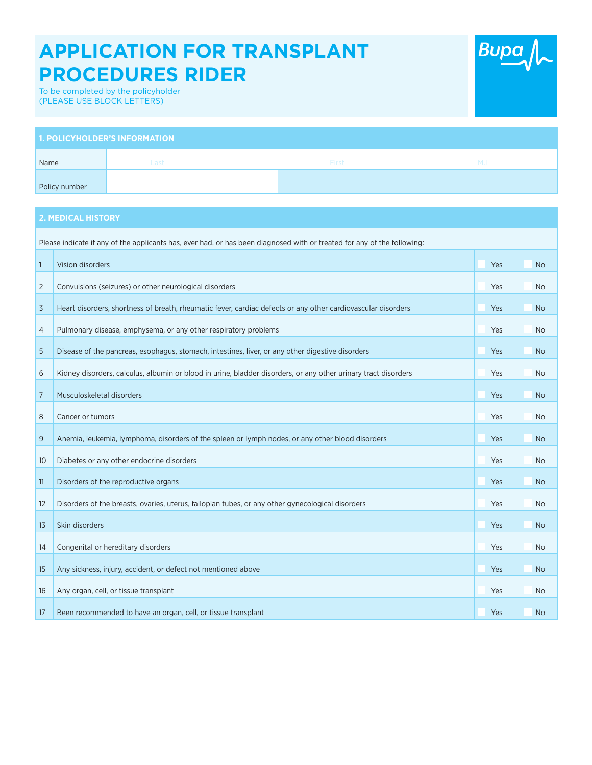## **APPLICATION FOR TRANSPLANT PROCEDURES RIDER**



To be completed by the policyholder (PLEASE USE BLOCK LETTERS)

| <b>1. POLICYHOLDER'S INFORMATION</b> |      |       |             |  |
|--------------------------------------|------|-------|-------------|--|
| Name                                 | Last | First | $M_{\odot}$ |  |
| Policy number                        |      |       |             |  |

## **2. MEDICAL HISTORY**

| Please indicate if any of the applicants has, ever had, or has been diagnosed with or treated for any of the following: |                                                                                                                |     |                |  |
|-------------------------------------------------------------------------------------------------------------------------|----------------------------------------------------------------------------------------------------------------|-----|----------------|--|
| $\mathbf{1}$                                                                                                            | Vision disorders                                                                                               | Yes | <b>No</b>      |  |
| 2                                                                                                                       | Convulsions (seizures) or other neurological disorders                                                         | Yes | <b>No</b>      |  |
| 3                                                                                                                       | Heart disorders, shortness of breath, rheumatic fever, cardiac defects or any other cardiovascular disorders   | Yes | N <sub>o</sub> |  |
| 4                                                                                                                       | Pulmonary disease, emphysema, or any other respiratory problems                                                | Yes | No.            |  |
| 5                                                                                                                       | Disease of the pancreas, esophagus, stomach, intestines, liver, or any other digestive disorders               | Yes | <b>No</b>      |  |
| 6                                                                                                                       | Kidney disorders, calculus, albumin or blood in urine, bladder disorders, or any other urinary tract disorders | Yes | <b>No</b>      |  |
| $\overline{7}$                                                                                                          | Musculoskeletal disorders                                                                                      | Yes | N <sub>o</sub> |  |
| 8                                                                                                                       | Cancer or tumors                                                                                               | Yes | <b>No</b>      |  |
| 9                                                                                                                       | Anemia, leukemia, lymphoma, disorders of the spleen or lymph nodes, or any other blood disorders               | Yes | <b>No</b>      |  |
| 10 <sup>°</sup>                                                                                                         | Diabetes or any other endocrine disorders                                                                      | Yes | <b>No</b>      |  |
| 11                                                                                                                      | Disorders of the reproductive organs                                                                           | Yes | N <sub>o</sub> |  |
| 12                                                                                                                      | Disorders of the breasts, ovaries, uterus, fallopian tubes, or any other gynecological disorders               | Yes | <b>No</b>      |  |
| 13                                                                                                                      | Skin disorders                                                                                                 | Yes | <b>No</b>      |  |
| 14                                                                                                                      | Congenital or hereditary disorders                                                                             | Yes | <b>No</b>      |  |
| 15                                                                                                                      | Any sickness, injury, accident, or defect not mentioned above                                                  | Yes | <b>No</b>      |  |
| 16                                                                                                                      | Any organ, cell, or tissue transplant                                                                          | Yes | <b>No</b>      |  |
| 17                                                                                                                      | Been recommended to have an organ, cell, or tissue transplant                                                  | Yes | <b>No</b>      |  |